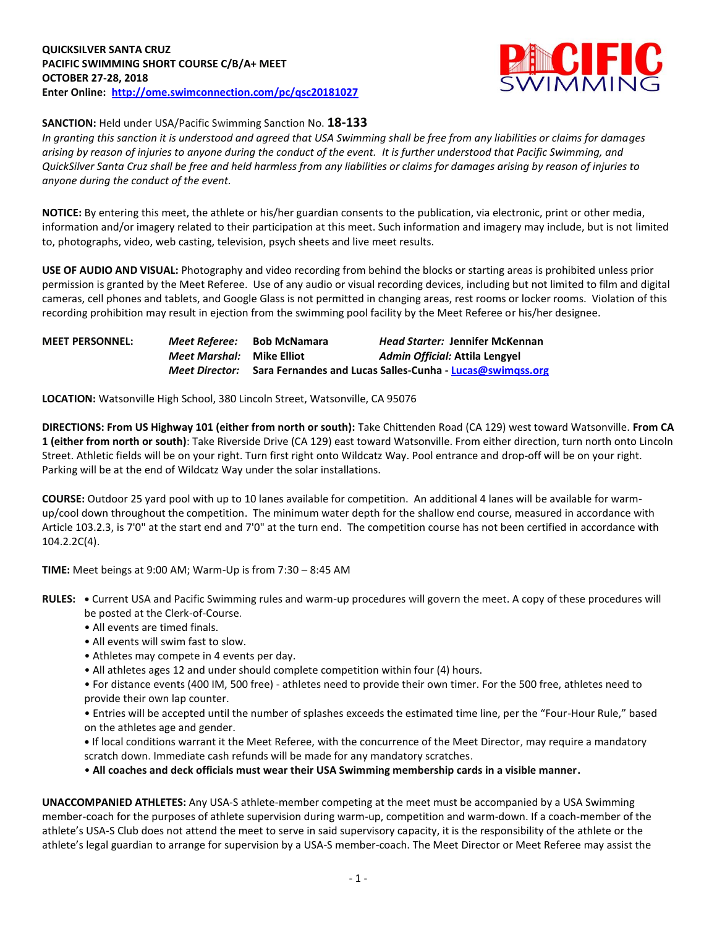

## **SANCTION:** Held under USA/Pacific Swimming Sanction No. **18-133**

*In granting this sanction it is understood and agreed that USA Swimming shall be free from any liabilities or claims for damages arising by reason of injuries to anyone during the conduct of the event. It is further understood that Pacific Swimming, and QuickSilver Santa Cruz shall be free and held harmless from any liabilities or claims for damages arising by reason of injuries to anyone during the conduct of the event.*

**NOTICE:** By entering this meet, the athlete or his/her guardian consents to the publication, via electronic, print or other media, information and/or imagery related to their participation at this meet. Such information and imagery may include, but is not limited to, photographs, video, web casting, television, psych sheets and live meet results.

**USE OF AUDIO AND VISUAL:** Photography and video recording from behind the blocks or starting areas is prohibited unless prior permission is granted by the Meet Referee. Use of any audio or visual recording devices, including but not limited to film and digital cameras, cell phones and tablets, and Google Glass is not permitted in changing areas, rest rooms or locker rooms. Violation of this recording prohibition may result in ejection from the swimming pool facility by the Meet Referee or his/her designee.

| <b>MEET PERSONNEL:</b> | Meet Referee:                    | <b>Bob McNamara</b> | <b>Head Starter: Jennifer McKennan</b>                    |
|------------------------|----------------------------------|---------------------|-----------------------------------------------------------|
|                        | <i>Meet Marshal:</i> Mike Elliot |                     | Admin Official: Attila Lengyel                            |
|                        | <b>Meet Director:</b>            |                     | Sara Fernandes and Lucas Salles-Cunha - Lucas@swimgss.org |

**LOCATION:** Watsonville High School, 380 Lincoln Street, Watsonville, CA 95076

**DIRECTIONS: From US Highway 101 (either from north or south):** Take Chittenden Road (CA 129) west toward Watsonville. **From CA 1 (either from north or south)**: Take Riverside Drive (CA 129) east toward Watsonville. From either direction, turn north onto Lincoln Street. Athletic fields will be on your right. Turn first right onto Wildcatz Way. Pool entrance and drop-off will be on your right. Parking will be at the end of Wildcatz Way under the solar installations.

**COURSE:** Outdoor 25 yard pool with up to 10 lanes available for competition.An additional 4 lanes will be available for warmup/cool down throughout the competition. The minimum water depth for the shallow end course, measured in accordance with Article 103.2.3, is 7'0" at the start end and 7'0" at the turn end. The competition course has not been certified in accordance with 104.2.2C(4).

**TIME:** Meet beings at 9:00 AM; Warm-Up is from 7:30 – 8:45 AM

- **RULES: •** Current USA and Pacific Swimming rules and warm-up procedures will govern the meet. A copy of these procedures will be posted at the Clerk-of-Course.
	- All events are timed finals.
	- All events will swim fast to slow.
	- Athletes may compete in 4 events per day.
	- All athletes ages 12 and under should complete competition within four (4) hours.
	- For distance events (400 IM, 500 free) athletes need to provide their own timer. For the 500 free, athletes need to provide their own lap counter.
	- Entries will be accepted until the number of splashes exceeds the estimated time line, per the "Four-Hour Rule," based on the athletes age and gender.
	- **•** If local conditions warrant it the Meet Referee, with the concurrence of the Meet Director, may require a mandatory scratch down. Immediate cash refunds will be made for any mandatory scratches.
	- **All coaches and deck officials must wear their USA Swimming membership cards in a visible manner.**

**UNACCOMPANIED ATHLETES:** Any USA-S athlete-member competing at the meet must be accompanied by a USA Swimming member-coach for the purposes of athlete supervision during warm-up, competition and warm-down. If a coach-member of the athlete's USA-S Club does not attend the meet to serve in said supervisory capacity, it is the responsibility of the athlete or the athlete's legal guardian to arrange for supervision by a USA-S member-coach. The Meet Director or Meet Referee may assist the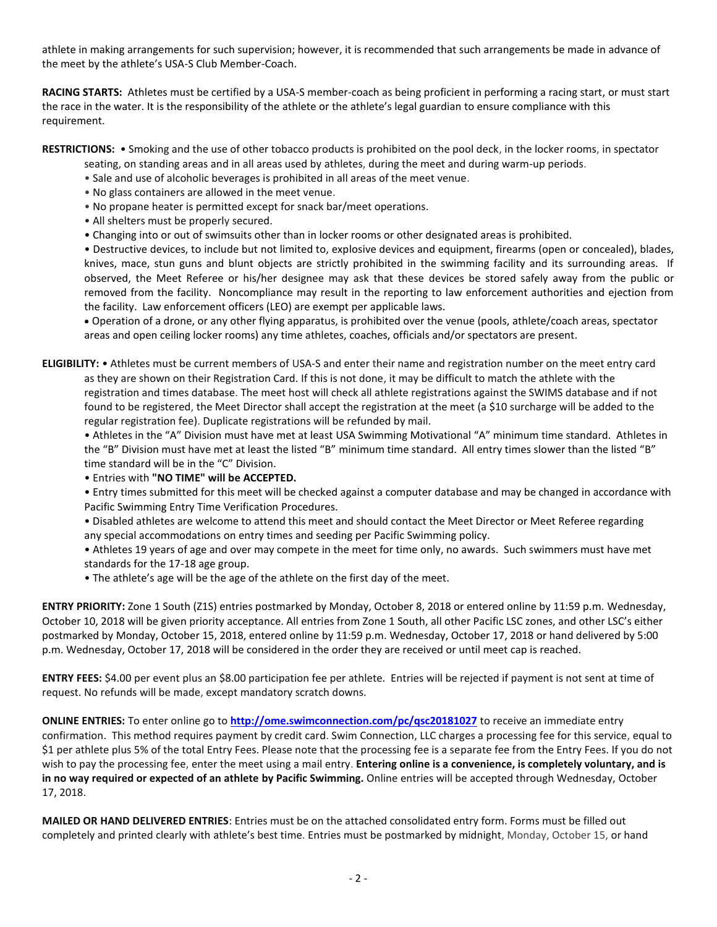athlete in making arrangements for such supervision; however, it is recommended that such arrangements be made in advance of the meet by the athlete's USA-S Club Member-Coach.

**RACING STARTS:** Athletes must be certified by a USA-S member-coach as being proficient in performing a racing start, or must start the race in the water. It is the responsibility of the athlete or the athlete's legal guardian to ensure compliance with this requirement.

**RESTRICTIONS:** • Smoking and the use of other tobacco products is prohibited on the pool deck, in the locker rooms, in spectator

seating, on standing areas and in all areas used by athletes, during the meet and during warm-up periods.

- Sale and use of alcoholic beverages is prohibited in all areas of the meet venue.
- No glass containers are allowed in the meet venue.
- No propane heater is permitted except for snack bar/meet operations.
- All shelters must be properly secured.
- Changing into or out of swimsuits other than in locker rooms or other designated areas is prohibited.

• Destructive devices, to include but not limited to, explosive devices and equipment, firearms (open or concealed), blades, knives, mace, stun guns and blunt objects are strictly prohibited in the swimming facility and its surrounding areas. If observed, the Meet Referee or his/her designee may ask that these devices be stored safely away from the public or removed from the facility. Noncompliance may result in the reporting to law enforcement authorities and ejection from the facility. Law enforcement officers (LEO) are exempt per applicable laws.

 Operation of a drone, or any other flying apparatus, is prohibited over the venue (pools, athlete/coach areas, spectator areas and open ceiling locker rooms) any time athletes, coaches, officials and/or spectators are present.

**ELIGIBILITY:** • Athletes must be current members of USA-S and enter their name and registration number on the meet entry card as they are shown on their Registration Card. If this is not done, it may be difficult to match the athlete with the registration and times database. The meet host will check all athlete registrations against the SWIMS database and if not found to be registered, the Meet Director shall accept the registration at the meet (a \$10 surcharge will be added to the regular registration fee). Duplicate registrations will be refunded by mail.

• Athletes in the "A" Division must have met at least USA Swimming Motivational "A" minimum time standard. Athletes in the "B" Division must have met at least the listed "B" minimum time standard. All entry times slower than the listed "B" time standard will be in the "C" Division.

- Entries with **"NO TIME" will be ACCEPTED.**
- Entry times submitted for this meet will be checked against a computer database and may be changed in accordance with Pacific Swimming Entry Time Verification Procedures.
- Disabled athletes are welcome to attend this meet and should contact the Meet Director or Meet Referee regarding any special accommodations on entry times and seeding per Pacific Swimming policy.
- Athletes 19 years of age and over may compete in the meet for time only, no awards. Such swimmers must have met standards for the 17-18 age group.
- The athlete's age will be the age of the athlete on the first day of the meet.

**ENTRY PRIORITY:** Zone 1 South (Z1S) entries postmarked by Monday, October 8, 2018 or entered online by 11:59 p.m. Wednesday, October 10, 2018 will be given priority acceptance. All entries from Zone 1 South, all other Pacific LSC zones, and other LSC's either postmarked by Monday, October 15, 2018, entered online by 11:59 p.m. Wednesday, October 17, 2018 or hand delivered by 5:00 p.m. Wednesday, October 17, 2018 will be considered in the order they are received or until meet cap is reached.

**ENTRY FEES:** \$4.00 per event plus an \$8.00 participation fee per athlete. Entries will be rejected if payment is not sent at time of request. No refunds will be made, except mandatory scratch downs.

**ONLINE ENTRIES:** To enter online go to **<http://ome.swimconnection.com/pc/qsc20181027>** to receive an immediate entry confirmation. This method requires payment by credit card. Swim Connection, LLC charges a processing fee for this service, equal to \$1 per athlete plus 5% of the total Entry Fees. Please note that the processing fee is a separate fee from the Entry Fees. If you do not wish to pay the processing fee, enter the meet using a mail entry. **Entering online is a convenience, is completely voluntary, and is in no way required or expected of an athlete by Pacific Swimming.** Online entries will be accepted through Wednesday, October 17, 2018.

**MAILED OR HAND DELIVERED ENTRIES**: Entries must be on the attached consolidated entry form. Forms must be filled out completely and printed clearly with athlete's best time. Entries must be postmarked by midnight, Monday, October 15, or hand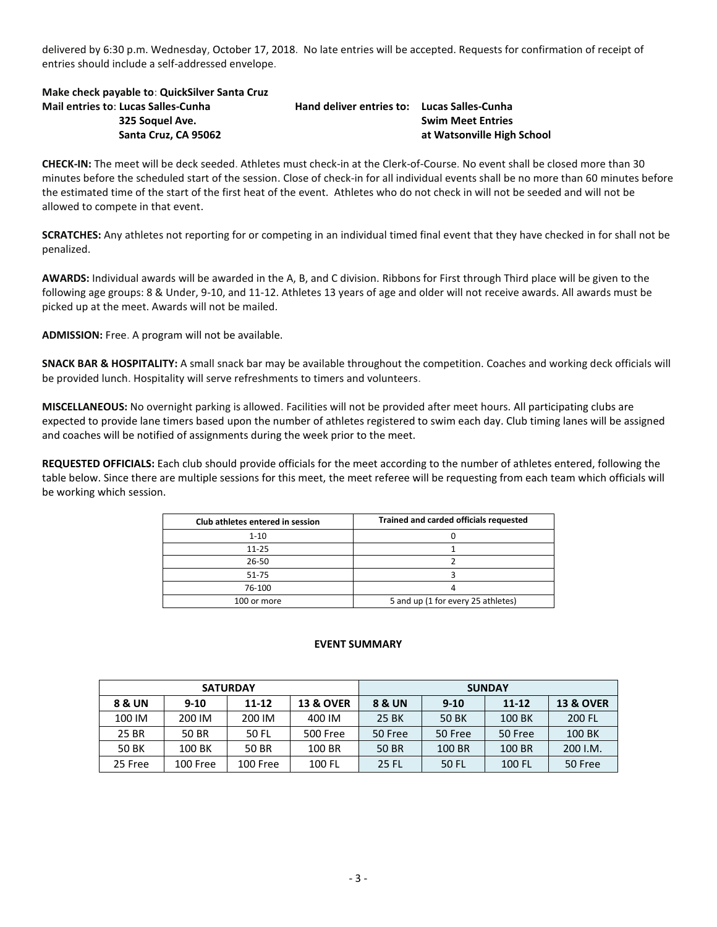delivered by 6:30 p.m. Wednesday, October 17, 2018. No late entries will be accepted. Requests for confirmation of receipt of entries should include a self-addressed envelope.

**Make check payable to**: **QuickSilver Santa Cruz Mail entries to**: **Lucas Salles-Cunha Hand deliver entries to: Lucas Salles-Cunha 325 Soquel Ave. Swim Meet Entries**

 **Santa Cruz, CA 95062 at Watsonville High School** 

**CHECK-IN:** The meet will be deck seeded. Athletes must check-in at the Clerk-of-Course. No event shall be closed more than 30 minutes before the scheduled start of the session. Close of check-in for all individual events shall be no more than 60 minutes before the estimated time of the start of the first heat of the event. Athletes who do not check in will not be seeded and will not be allowed to compete in that event.

**SCRATCHES:** Any athletes not reporting for or competing in an individual timed final event that they have checked in for shall not be penalized.

**AWARDS:** Individual awards will be awarded in the A, B, and C division. Ribbons for First through Third place will be given to the following age groups: 8 & Under, 9-10, and 11-12. Athletes 13 years of age and older will not receive awards. All awards must be picked up at the meet. Awards will not be mailed.

**ADMISSION:** Free. A program will not be available.

**SNACK BAR & HOSPITALITY:** A small snack bar may be available throughout the competition. Coaches and working deck officials will be provided lunch. Hospitality will serve refreshments to timers and volunteers.

**MISCELLANEOUS:** No overnight parking is allowed. Facilities will not be provided after meet hours. All participating clubs are expected to provide lane timers based upon the number of athletes registered to swim each day. Club timing lanes will be assigned and coaches will be notified of assignments during the week prior to the meet.

**REQUESTED OFFICIALS:** Each club should provide officials for the meet according to the number of athletes entered, following the table below. Since there are multiple sessions for this meet, the meet referee will be requesting from each team which officials will be working which session.

| Club athletes entered in session | Trained and carded officials requested |
|----------------------------------|----------------------------------------|
| $1 - 10$                         |                                        |
| $11 - 25$                        |                                        |
| 26-50                            |                                        |
| 51-75                            |                                        |
| 76-100                           |                                        |
| 100 or more                      | 5 and up (1 for every 25 athletes)     |

## **EVENT SUMMARY**

| <b>SATURDAY</b> |          |          |                      | <b>SUNDAY</b> |          |           |                      |  |  |
|-----------------|----------|----------|----------------------|---------------|----------|-----------|----------------------|--|--|
| 8 & UN          | $9 - 10$ | 11-12    | <b>13 &amp; OVER</b> | 8 & UN        | $9 - 10$ | $11 - 12$ | <b>13 &amp; OVER</b> |  |  |
| 100 IM          | 200 IM   | 200 IM   | 400 IM               | 25 BK         | 50 BK    | 100 BK    | 200 FL               |  |  |
| 25 BR           | 50 BR    | 50 FL    | <b>500 Free</b>      | 50 Free       | 50 Free  | 50 Free   | 100 BK               |  |  |
| 50 BK           | 100 BK   | 50 BR    | 100 BR               | 50 BR         | 100 BR   | 100 BR    | 200 I.M.             |  |  |
| 25 Free         | 100 Free | 100 Free | 100 FL               | 25 FL         | 50 FL    | 100 FL    | 50 Free              |  |  |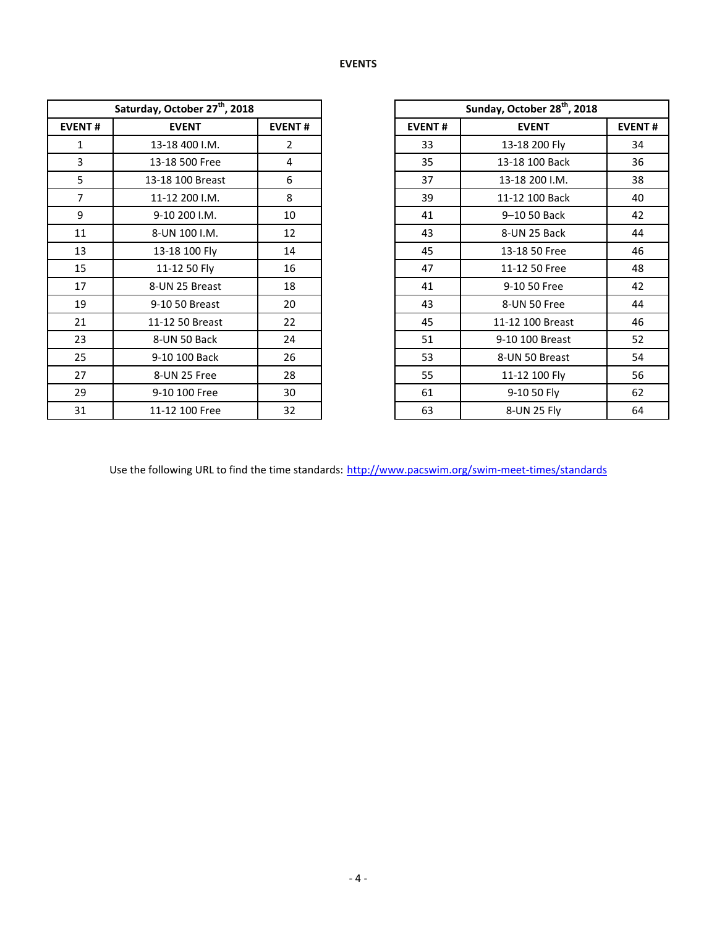|                | Saturday, October 27 <sup>th</sup> , 2018 |                |               | Sunday, October 28 <sup>th</sup> , 2018 |
|----------------|-------------------------------------------|----------------|---------------|-----------------------------------------|
| <b>EVENT#</b>  | <b>EVENT</b>                              | <b>EVENT#</b>  | <b>EVENT#</b> | <b>EVENT</b>                            |
| $\mathbf{1}$   | 13-18 400 I.M.                            | $\overline{2}$ | 33            | 13-18 200 Fly                           |
| 3              | 13-18 500 Free                            | 4              | 35            | 13-18 100 Back                          |
| 5              | 13-18 100 Breast                          | 6              | 37            | 13-18 200 I.M.                          |
| $\overline{7}$ | 11-12 200 I.M.                            | 8              | 39            | 11-12 100 Back                          |
| 9              | 9-10 200 I.M.                             | 10             | 41            | 9-10 50 Back                            |
| 11             | 8-UN 100 I.M.                             | 12             | 43            | 8-UN 25 Back                            |
| 13             | 13-18 100 Fly                             | 14             | 45            | 13-18 50 Free                           |
| 15             | 11-12 50 Fly                              | 16             | 47            | 11-12 50 Free                           |
| 17             | 8-UN 25 Breast                            | 18             | 41            | 9-10 50 Free                            |
| 19             | 9-10 50 Breast                            | 20             | 43            | 8-UN 50 Free                            |
| 21             | 11-12 50 Breast                           | 22             | 45            | 11-12 100 Breast                        |
| 23             | 8-UN 50 Back                              | 24             | 51            | 9-10 100 Breast                         |
| 25             | 9-10 100 Back                             | 26             | 53            | 8-UN 50 Breast                          |
| 27             | 8-UN 25 Free                              | 28             | 55            | 11-12 100 Fly                           |
| 29             | 9-10 100 Free                             | 30             | 61            | 9-10 50 Fly                             |
| 31             | 11-12 100 Free                            | 32             | 63            | 8-UN 25 Fly                             |

|                | Saturday, October 27 <sup>th</sup> , 2018 |                |  |
|----------------|-------------------------------------------|----------------|--|
| <b>EVENT#</b>  | <b>EVENT</b>                              | <b>EVENT#</b>  |  |
| $\mathbf{1}$   | 13-18 400 I.M.                            | $\overline{2}$ |  |
| 3              | 13-18 500 Free                            | $\overline{4}$ |  |
| 5              | 13-18 100 Breast                          | 6              |  |
| $\overline{7}$ | 11-12 200 I.M.                            | 8              |  |
| 9              | 9-10 200 I.M.                             | 10             |  |
| 11             | 8-UN 100 I.M.                             | 12             |  |
| 13             | 13-18 100 Fly                             | 14             |  |
| 15             | 11-12 50 Fly                              | 16             |  |
| 17             | 8-UN 25 Breast                            | 18             |  |
| 19             | 9-10 50 Breast                            | 20             |  |
| 21             | 11-12 50 Breast                           | 22             |  |
| 23             | 8-UN 50 Back                              | 24             |  |
| 25             | 9-10 100 Back                             | 26             |  |
| 27             | 8-UN 25 Free                              | 28             |  |
| 29             | 9-10 100 Free                             | 30             |  |
| 31             | 11-12 100 Free                            | 32             |  |

Use the following URL to find the time standards: <http://www.pacswim.org/swim-meet-times/standards>